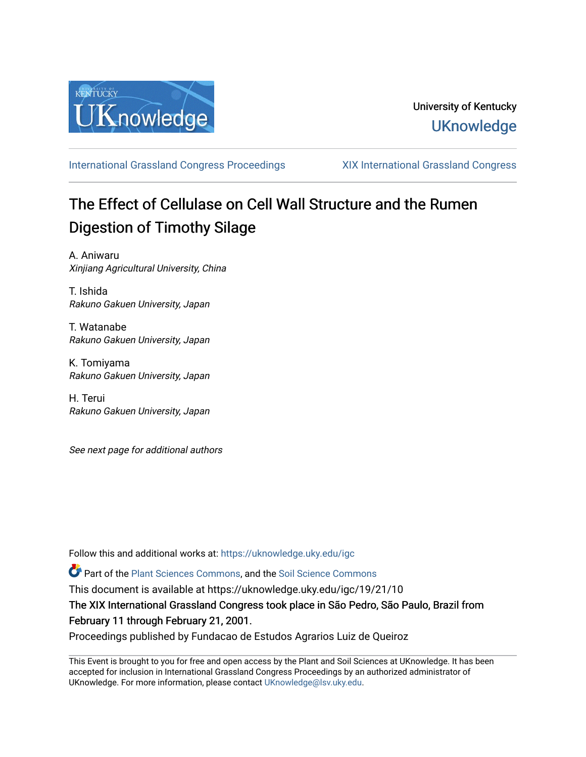

[International Grassland Congress Proceedings](https://uknowledge.uky.edu/igc) [XIX International Grassland Congress](https://uknowledge.uky.edu/igc/19) 

# The Effect of Cellulase on Cell Wall Structure and the Rumen Digestion of Timothy Silage

A. Aniwaru Xinjiang Agricultural University, China

T. Ishida Rakuno Gakuen University, Japan

T. Watanabe Rakuno Gakuen University, Japan

K. Tomiyama Rakuno Gakuen University, Japan

H. Terui Rakuno Gakuen University, Japan

See next page for additional authors

Follow this and additional works at: [https://uknowledge.uky.edu/igc](https://uknowledge.uky.edu/igc?utm_source=uknowledge.uky.edu%2Figc%2F19%2F21%2F10&utm_medium=PDF&utm_campaign=PDFCoverPages) 

Part of the [Plant Sciences Commons](http://network.bepress.com/hgg/discipline/102?utm_source=uknowledge.uky.edu%2Figc%2F19%2F21%2F10&utm_medium=PDF&utm_campaign=PDFCoverPages), and the [Soil Science Commons](http://network.bepress.com/hgg/discipline/163?utm_source=uknowledge.uky.edu%2Figc%2F19%2F21%2F10&utm_medium=PDF&utm_campaign=PDFCoverPages) 

This document is available at https://uknowledge.uky.edu/igc/19/21/10

The XIX International Grassland Congress took place in São Pedro, São Paulo, Brazil from February 11 through February 21, 2001.

Proceedings published by Fundacao de Estudos Agrarios Luiz de Queiroz

This Event is brought to you for free and open access by the Plant and Soil Sciences at UKnowledge. It has been accepted for inclusion in International Grassland Congress Proceedings by an authorized administrator of UKnowledge. For more information, please contact [UKnowledge@lsv.uky.edu](mailto:UKnowledge@lsv.uky.edu).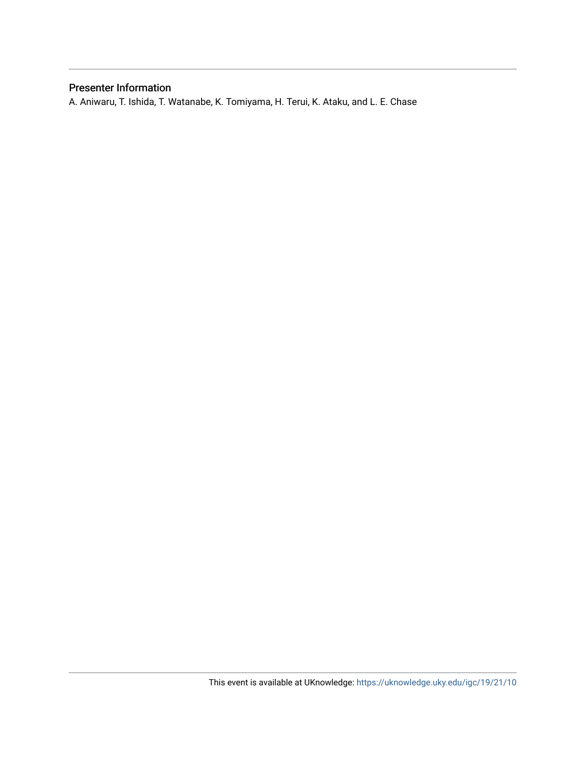## Presenter Information

A. Aniwaru, T. Ishida, T. Watanabe, K. Tomiyama, H. Terui, K. Ataku, and L. E. Chase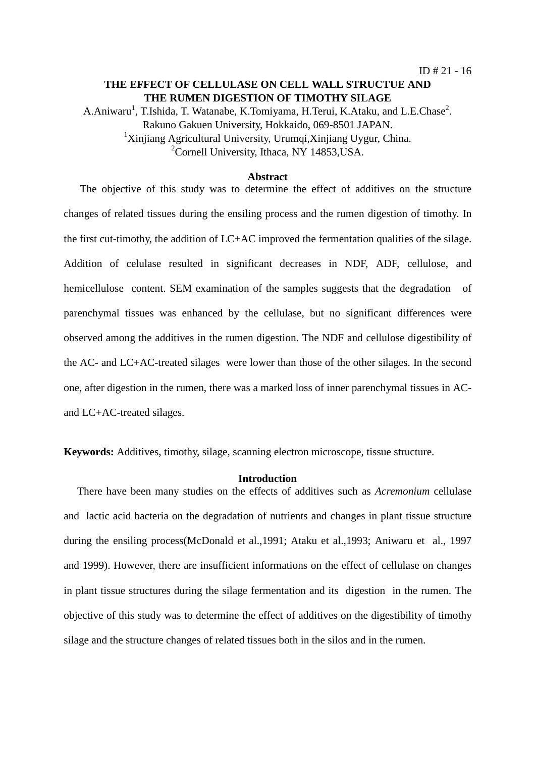## **THE EFFECT OF CELLULASE ON CELL WALL STRUCTUE AND THE RUMEN DIGESTION OF TIMOTHY SILAGE**

A.Aniwaru<sup>1</sup>, T.Ishida, T. Watanabe, K.Tomiyama, H.Terui, K.Ataku, and L.E.Chase<sup>2</sup>. Rakuno Gakuen University, Hokkaido, 069-8501 JAPAN. <sup>1</sup>Xinjiang Agricultural University, Urumqi,Xinjiang Uygur, China. <sup>2</sup>Cornell University, Ithaca, NY 14853, USA.

#### **Abstract**

 The objective of this study was to determine the effect of additives on the structure changes of related tissues during the ensiling process and the rumen digestion of timothy. In the first cut-timothy, the addition of LC+AC improved the fermentation qualities of the silage. Addition of celulase resulted in significant decreases in NDF, ADF, cellulose, and hemicellulose content. SEM examination of the samples suggests that the degradation of parenchymal tissues was enhanced by the cellulase, but no significant differences were observed among the additives in the rumen digestion. The NDF and cellulose digestibility of the AC- and LC+AC-treated silages were lower than those of the other silages. In the second one, after digestion in the rumen, there was a marked loss of inner parenchymal tissues in ACand LC+AC-treated silages.

**Keywords:** Additives, timothy, silage, scanning electron microscope, tissue structure.

#### **Introduction**

 There have been many studies on the effects of additives such as *Acremonium* cellulase and lactic acid bacteria on the degradation of nutrients and changes in plant tissue structure during the ensiling process(McDonald et al.,1991; Ataku et al.,1993; Aniwaru et al., 1997 and 1999). However, there are insufficient informations on the effect of cellulase on changes in plant tissue structures during the silage fermentation and its digestion in the rumen. The objective of this study was to determine the effect of additives on the digestibility of timothy silage and the structure changes of related tissues both in the silos and in the rumen.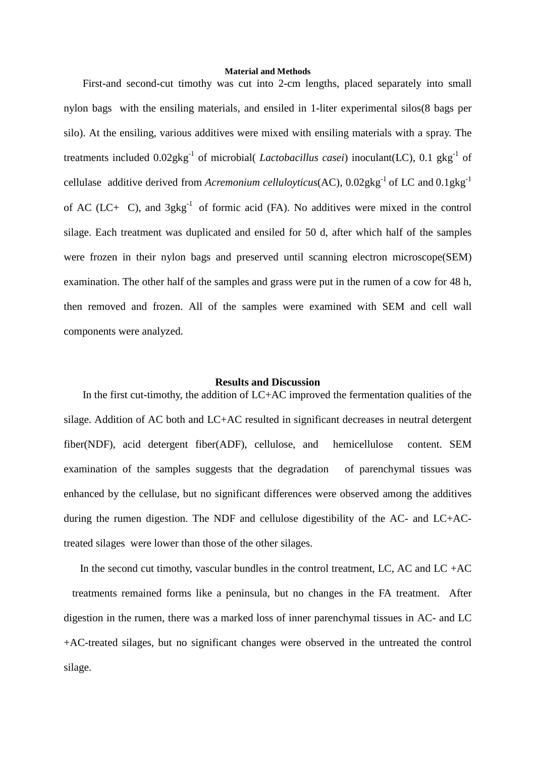#### **Material and Methods**

 First-and second-cut timothy was cut into 2-cm lengths, placed separately into small nylon bags with the ensiling materials, and ensiled in 1-liter experimental silos(8 bags per silo). At the ensiling, various additives were mixed with ensiling materials with a spray. The treatments included  $0.02$ gkg<sup>-1</sup> of microbial( *Lactobacillus casei*) inoculant(LC), 0.1 gkg<sup>-1</sup> of cellulase additive derived from *Acremonium celluloyticus*(AC),  $0.02$ gkg<sup>-1</sup> of LC and  $0.1$ gkg<sup>-1</sup> of AC (LC+C), and  $3gkg^{-1}$  of formic acid (FA). No additives were mixed in the control silage. Each treatment was duplicated and ensiled for 50 d, after which half of the samples were frozen in their nylon bags and preserved until scanning electron microscope(SEM) examination. The other half of the samples and grass were put in the rumen of a cow for 48 h, then removed and frozen. All of the samples were examined with SEM and cell wall components were analyzed.

#### **Results and Discussion**

 In the first cut-timothy, the addition of LC+AC improved the fermentation qualities of the silage. Addition of AC both and LC+AC resulted in significant decreases in neutral detergent fiber(NDF), acid detergent fiber(ADF), cellulose, and hemicellulose content. SEM examination of the samples suggests that the degradation of parenchymal tissues was enhanced by the cellulase, but no significant differences were observed among the additives during the rumen digestion. The NDF and cellulose digestibility of the AC- and LC+ACtreated silages were lower than those of the other silages.

In the second cut timothy, vascular bundles in the control treatment, LC, AC and LC +AC treatments remained forms like a peninsula, but no changes in the FA treatment. After digestion in the rumen, there was a marked loss of inner parenchymal tissues in AC- and LC +AC-treated silages, but no significant changes were observed in the untreated the control silage.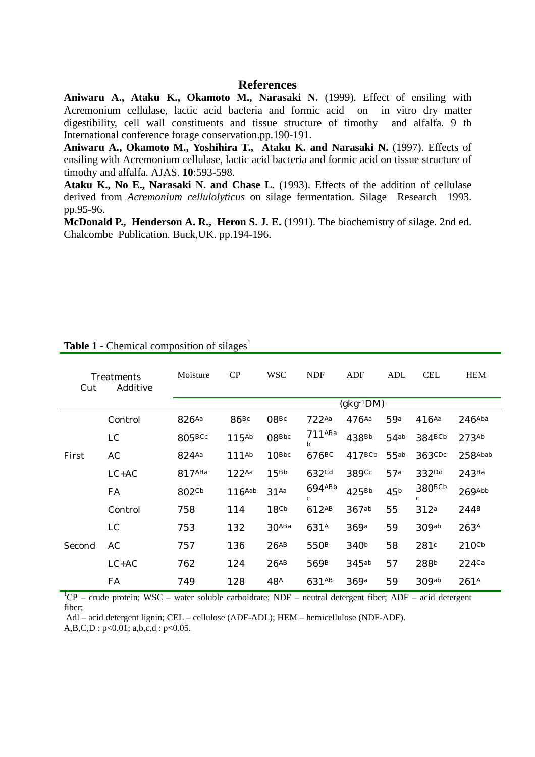### **References**

**Aniwaru A., Ataku K., Okamoto M., Narasaki N.** (1999). Effect of ensiling with Acremonium cellulase, lactic acid bacteria and formic acid on in vitro dry matter digestibility, cell wall constituents and tissue structure of timothy and alfalfa. 9 th International conference forage conservation.pp.190-191.

**Aniwaru A., Okamoto M., Yoshihira T., Ataku K. and Narasaki N.** (1997). Effects of ensiling with Acremonium cellulase, lactic acid bacteria and formic acid on tissue structure of timothy and alfalfa. AJAS. **10**:593-598.

**Ataku K., No E., Narasaki N. and Chase L.** (1993). Effects of the addition of cellulase derived from *Acremonium cellulolyticus* on silage fermentation. Silage Research 1993. pp.95-96.

**McDonald P., Henderson A. R., Heron S. J. E.** (1991). The biochemistry of silage. 2nd ed. Chalcombe Publication. Buck,UK. pp.194-196.

| Cut    | Treatments<br>Additive | Moisture             | CP                | <b>WSC</b>        | <b>NDF</b>            | <b>ADF</b>        | ADL              | <b>CEL</b>                         | <b>HEM</b>           |  |  |
|--------|------------------------|----------------------|-------------------|-------------------|-----------------------|-------------------|------------------|------------------------------------|----------------------|--|--|
|        |                        | $(gkg^{-1}DM)$       |                   |                   |                       |                   |                  |                                    |                      |  |  |
| First  | Control                | 826Aa                | 86Bc              | 08 <sup>BC</sup>  | $722$ Aa              | $476$ Aa          | 59a              | $416$ <sup>Aa</sup>                | $246$ <sup>Aba</sup> |  |  |
|        | LC                     | $805$ <sub>BCc</sub> | $115^{Ab}$        | 08 <sub>Bbc</sub> | $711$ ABa<br>b        | 438 <sup>Bb</sup> | 54 <sup>ab</sup> | 384 <sup>BCb</sup>                 | 273Ab                |  |  |
|        | AC                     | 824Aa                | 111 <sup>Ab</sup> | $10^{Bbc}$        | 676 <sup>BC</sup>     | 417BCb            | 55ab             | 363CDc                             | 258Abab              |  |  |
|        | $LC+AC$                | 817ABa               | $122$ Aa          | 15 <sub>bb</sub>  | 632 <sup>cd</sup>     | 389 <sup>cc</sup> | 57a              | 332 <sup>Dd</sup>                  | 243 <sub>Ba</sub>    |  |  |
|        | FA                     | 802 <sup>Cb</sup>    | $116$ Aab         | 31 <sup>Aa</sup>  | 694ABb<br>$\mathbf c$ | 425 <sup>bb</sup> | 45 <sup>b</sup>  | 380 <sup>BCb</sup><br>$\mathbf{C}$ | 269Abb               |  |  |
| Second | Control                | 758                  | 114               | 18 <sup>Ch</sup>  | 612AB                 | 367ab             | 55               | 312a                               | 244 <sup>B</sup>     |  |  |
|        | LC                     | 753                  | 132               | $30$ ABa          | 631 <sup>A</sup>      | 369a              | 59               | 309ab                              | 263 <sup>A</sup>     |  |  |
|        | AC                     | 757                  | 136               | $26^{AB}$         | 550 <sup>B</sup>      | 340 <sup>b</sup>  | 58               | 281c                               | $210$ <sup>Cb</sup>  |  |  |
|        | $LC+AC$                | 762                  | 124               | 26AB              | 569 <sup>B</sup>      | 345ab             | 57               | 288b                               | $224$ Ca             |  |  |
|        | FA                     | 749                  | 128               | 48 <sup>A</sup>   | 631 <sup>AB</sup>     | 369a              | 59               | 309ab                              | 261 <sup>A</sup>     |  |  |

**Table 1 -** Chemical composition of silages<sup>1</sup>

 ${}^{1}CP$  – crude protein; WSC – water soluble carboidrate; NDF – neutral detergent fiber; ADF – acid detergent fiber;

Adl – acid detergent lignin; CEL – cellulose (ADF-ADL); HEM – hemicellulose (NDF-ADF).

A,B,C,D :  $p<0.01$ ; a,b,c,d :  $p<0.05$ .